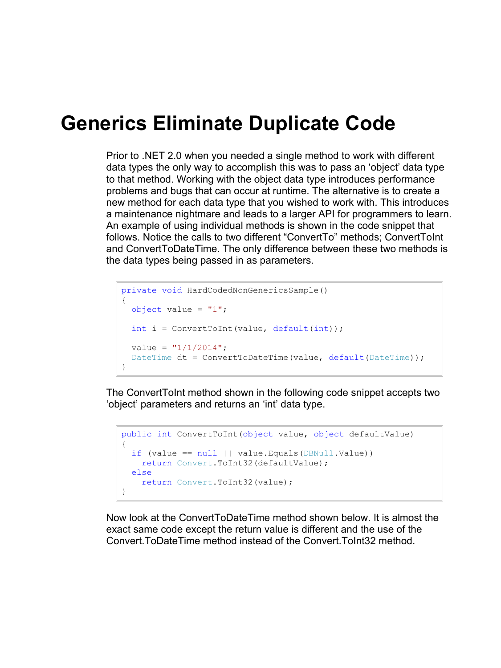## **Generics Eliminate Duplicate Code**

Prior to .NET 2.0 when you needed a single method to work with different data types the only way to accomplish this was to pass an 'object' data type to that method. Working with the object data type introduces performance problems and bugs that can occur at runtime. The alternative is to create a new method for each data type that you wished to work with. This introduces a maintenance nightmare and leads to a larger API for programmers to learn. An example of using individual methods is shown in the code snippet that follows. Notice the calls to two different "ConvertTo" methods; ConvertToInt and ConvertToDateTime. The only difference between these two methods is the data types being passed in as parameters.

```
private void HardCodedNonGenericsSample()
\left\{ \right.object value = "1";
  int i = ConvertToInt(value, default(int));
  value = "1/1/2014";
  DateTime dt = ConvertToDateTime(value, default(DateTime));
}
```
The ConvertToInt method shown in the following code snippet accepts two 'object' parameters and returns an 'int' data type.

```
public int ConvertToInt(object value, object defaultValue)
{
 if (value == null || value.Equals(DBNull.Value))
    return Convert.ToInt32(defaultValue);
  else
   return Convert.ToInt32(value);
}
```
Now look at the ConvertToDateTime method shown below. It is almost the exact same code except the return value is different and the use of the Convert.ToDateTime method instead of the Convert.ToInt32 method.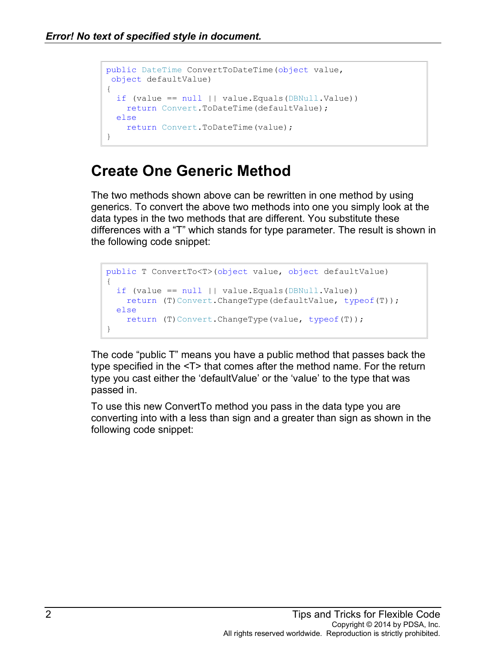```
public DateTime ConvertToDateTime(object value, 
object defaultValue)
{
 if (value == null || value.Equals(DBNull.Value))
    return Convert.ToDateTime(defaultValue);
  else
    return Convert.ToDateTime(value);
}
```
## **Create One Generic Method**

The two methods shown above can be rewritten in one method by using generics. To convert the above two methods into one you simply look at the data types in the two methods that are different. You substitute these differences with a "T" which stands for type parameter. The result is shown in the following code snippet:

```
public T ConvertTo<T>(object value, object defaultValue)
{
  if (value == null || value.Equals(DBNull.Value))
   return (T)Convert.ChangeType(defaultValue, typeof(T));
  else
   return (T)Convert.ChangeType(value, typeof(T));
}
```
The code "public T" means you have a public method that passes back the type specified in the <T> that comes after the method name. For the return type you cast either the 'defaultValue' or the 'value' to the type that was passed in.

To use this new ConvertTo method you pass in the data type you are converting into with a less than sign and a greater than sign as shown in the following code snippet: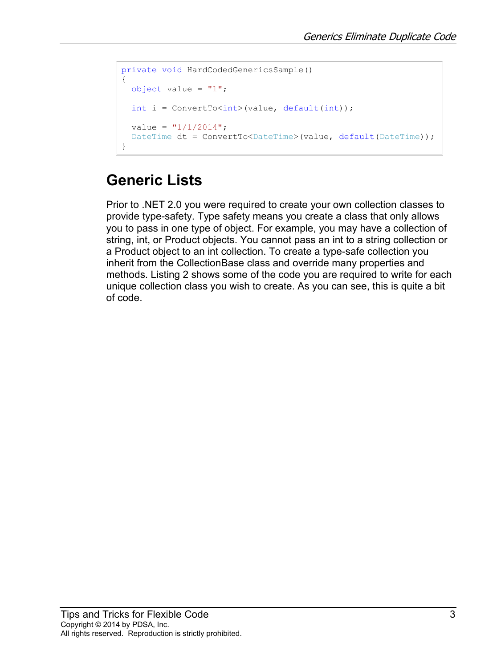```
private void HardCodedGenericsSample()
{
 object value = "1";
 int i = ConvertTo<int>(value, default(int));value = "1/1/2014";
 DateTime dt = ConvertTo<DateTime>(value, default(DateTime));
}
```
## **Generic Lists**

Prior to .NET 2.0 you were required to create your own collection classes to provide type-safety. Type safety means you create a class that only allows you to pass in one type of object. For example, you may have a collection of string, int, or Product objects. You cannot pass an int to a string collection or a Product object to an int collection. To create a type-safe collection you inherit from the CollectionBase class and override many properties and methods. [Listing 2](#page-3-0) shows some of the code you are required to write for each unique collection class you wish to create. As you can see, this is quite a bit of code.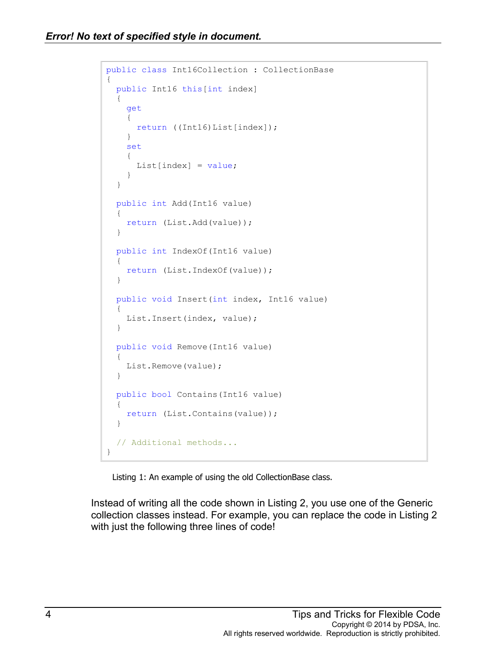```
public class Int16Collection : CollectionBase
{
  public Int16 this[int index]
   {
     get
     {
      return ((Int16)List[index]);
     }
     set
     {
      List/index] = value; }
   }
  public int Add(Int16 value)
   {
     return (List.Add(value));
   }
  public int IndexOf(Int16 value)
   {
     return (List.IndexOf(value));
   }
  public void Insert(int index, Int16 value)
   {
     List.Insert(index, value);
   }
  public void Remove(Int16 value)
   {
     List.Remove(value);
   }
  public bool Contains(Int16 value)
   {
     return (List.Contains(value));
   }
   // Additional methods...
}
```
Listing 1: An example of using the old CollectionBase class.

<span id="page-3-0"></span>Instead of writing all the code shown in [Listing 2,](#page-3-0) you use one of the Generic collection classes instead. For example, you can replace the code in [Listing 2](#page-3-0) with just the following three lines of code!